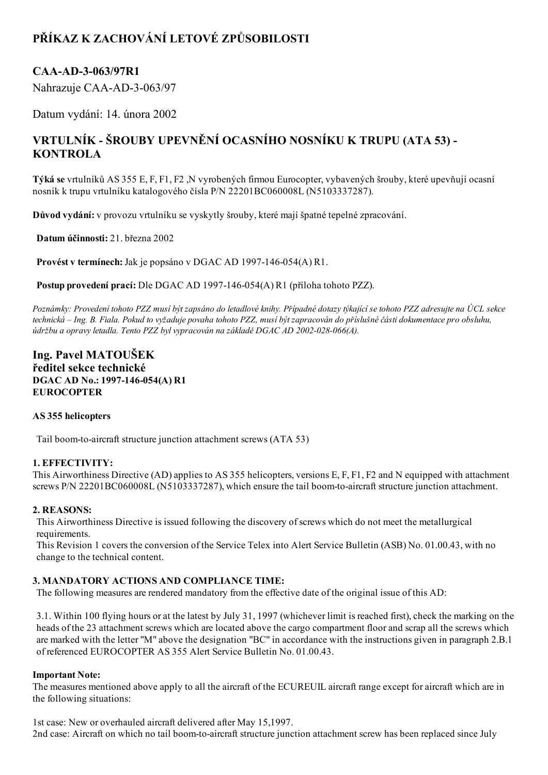# PŘÍKAZ K ZACHOVÁNÍ LETOVÉ ZPŮSOBILOSTI

### CAA-AD-3-063/97R1

Nahrazuje CAA-AD-3-063/97

Datum vydání: 14. února 2002

## VRTULNÍK ŠROUBY UPEVNĚNÍ OCASNÍHO NOSNÍKU K TRUPU (ATA 53) KONTROLA

Týká se vrtulníků AS 355 E, F, F1, F2 ,N vyrobených firmou Eurocopter, vybavených šrouby, které upevňují ocasní nosník k trupu vrtulníku katalogového čísla P/N 22201BC060008L (N5103337287).

Důvod vydání: v provozu vrtulníku se vyskytly šrouby, které mají špatné tepelné zpracování.

Datum účinnosti: 21. března 2002

Provést v termínech: Jak je popsáno v DGAC AD 1997-146-054(A) R1.

Postup provedení prací: Dle DGAC AD 1997-146-054(A) R1 (příloha tohoto PZZ).

Poznámky: Provedení tohoto PZZ musí být zapsáno do letadlové knihy. Případné dotazy týkající se tohoto PZZ adresujte na ÚCL sekce technická – Ing. B. Fiala. Pokud to vyžaduje povaha tohoto PZZ, musí být zapracován do příslušné části dokumentace pro obsluhu, údržbu a opravy letadla. Tento PZZ byl vypracován na základě DGAC AD 2002-028-066(A).

### Ing. Pavel MATOUŠEK ředitel sekce technické DGAC AD No.: 1997-146-054(A) R1 EUROCOPTER

#### AS 355 helicopters

Tail boom-to-aircraft structure junction attachment screws (ATA 53)

#### 1. EFFECTIVITY:

This Airworthiness Directive (AD) applies to AS 355 helicopters, versions E, F, F1, F2 and N equipped with attachment screws P/N 22201BC060008L (N5103337287), which ensure the tail boom-to-aircraft structure junction attachment.

#### 2. REASONS:

This Airworthiness Directive is issued following the discovery ofscrews which do not meet the metallurgical requirements.

This Revision 1 covers the conversion of the Service Telex into Alert Service Bulletin (ASB) No. 01.00.43, with no change to the technical content.

#### 3. MANDATORY ACTIONS AND COMPLIANCE TIME:

The following measures are rendered mandatory from the effective date of the original issue of this AD:

3.1. Within 100 flying hours or at the latest by July 31, 1997 (whichever limit is reached first), check the marking on the heads of the 23 attachment screws which are located above the cargo compartment floor and scrap all the screws which are marked with the letter "M" above the designation "BC" in accordance with the instructions given in paragraph 2.B.1 of referenced EUROCOPTER AS 355 Alert Service Bulletin No. 01.00.43.

#### Important Note:

The measures mentioned above apply to all the aircraft of the ECUREUIL aircraft range except for aircraft which are in the following situations:

1st case: New or overhauled aircraft delivered after May 15,1997. 2nd case: Aircraft on which no tail boom-to-aircraft structure junction attachment screw has been replaced since July